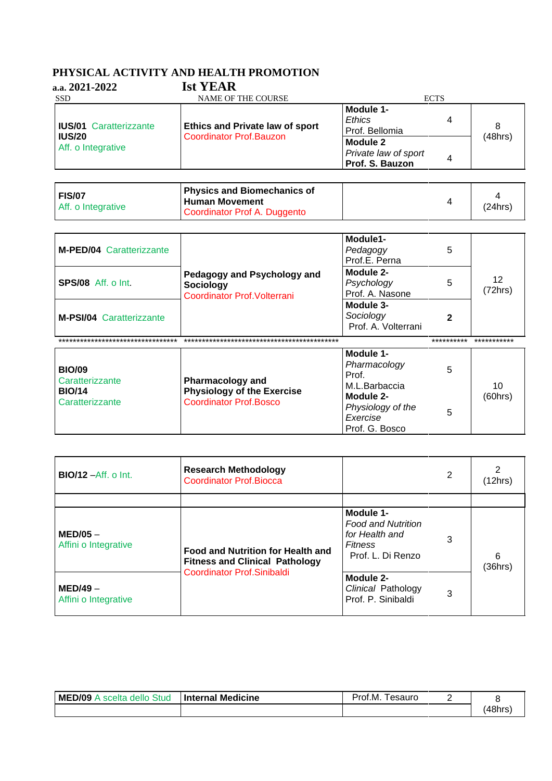## PHYSICAL ACTIVITY AND HEALTH PROMOTION

| a.a. $2021 - 2022$                                                   | <b>Ist YEAR</b>                                                    |                                                     |   |         |
|----------------------------------------------------------------------|--------------------------------------------------------------------|-----------------------------------------------------|---|---------|
| <b>SSD</b>                                                           | <b>NAME OF THE COURSE</b>                                          | <b>ECTS</b>                                         |   |         |
| <b>IUS/01 Caratterizzante</b><br><b>IUS/20</b><br>Aff. o Integrative | <b>Ethics and Private law of sport</b><br>Coordinator Prof. Bauzon | Module 1-<br>Ethics<br>Prof. Bellomia               | 4 | 8       |
|                                                                      |                                                                    | Module 2<br>Private law of sport<br>Prof. S. Bauzon |   | (48hrs) |

| <b>FIS/07</b><br>Aff. o Integrative | <b>Physics and Biomechanics of</b><br><b>Human Movement</b><br>Coordinator Prof A. Duggento | (24hrs) |
|-------------------------------------|---------------------------------------------------------------------------------------------|---------|
|                                     |                                                                                             |         |

| <b>M-PED/04 Caratterizzante</b>   |                                                                          | Module1-<br>Pedagogy<br>Prof.E. Perna         | 5          |               |
|-----------------------------------|--------------------------------------------------------------------------|-----------------------------------------------|------------|---------------|
| <b>SPS/08</b> Aff. o Int.         | Pedagogy and Psychology and<br>Sociology<br>Coordinator Prof. Volterrani | Module 2-<br>Psychology<br>Prof. A. Nasone    | 5          | 12<br>(72hrs) |
| <b>M-PSI/04 Caratterizzante</b>   |                                                                          | Module 3-<br>Sociology<br>Prof. A. Volterrani |            |               |
| ********************************* |                                                                          |                                               | ********** | ***********   |
| <b>BIO/09</b>                     |                                                                          | Module 1-<br>Pharmacology                     | 5          |               |

| <b>BIO/09</b><br>Caratterizzante<br><b>BIO/14</b><br>Caratterizzante | <b>Pharmacology and</b><br><b>Physiology of the Exercise</b><br><b>Coordinator Prof.Bosco</b> | Pharmacology<br>Prof.<br>M.L.Barbaccia<br>Module 2-<br>Physiology of the<br>Exercise<br>Prof. G. Bosco |  | 10<br>(60hrs) |
|----------------------------------------------------------------------|-----------------------------------------------------------------------------------------------|--------------------------------------------------------------------------------------------------------|--|---------------|
|----------------------------------------------------------------------|-----------------------------------------------------------------------------------------------|--------------------------------------------------------------------------------------------------------|--|---------------|

| <b>BIO/12</b> – Aff. o Int.        | <b>Research Methodology</b><br>Coordinator Prof. Biocca                                                         |                                                                                                 | 2 | 2<br>(12hrs) |
|------------------------------------|-----------------------------------------------------------------------------------------------------------------|-------------------------------------------------------------------------------------------------|---|--------------|
|                                    |                                                                                                                 |                                                                                                 |   |              |
| $MED/05 -$<br>Affini o Integrative | <b>Food and Nutrition for Health and</b><br><b>Fitness and Clinical Pathology</b><br>Coordinator Prof.Sinibaldi | Module 1-<br><b>Food and Nutrition</b><br>for Health and<br><b>Fitness</b><br>Prof. L. Di Renzo | 3 | 6<br>(36hrs) |
| $MED/49 -$<br>Affini o Integrative |                                                                                                                 | Module 2-<br>Clinical Pathology<br>Prof. P. Sinibaldi                                           | 3 |              |

| MED/09<br>Stud<br>scelta<br>dello | <b>Internal Medicine</b> | Prof.M.<br>esauro |       |
|-----------------------------------|--------------------------|-------------------|-------|
|                                   |                          |                   | 48hrs |